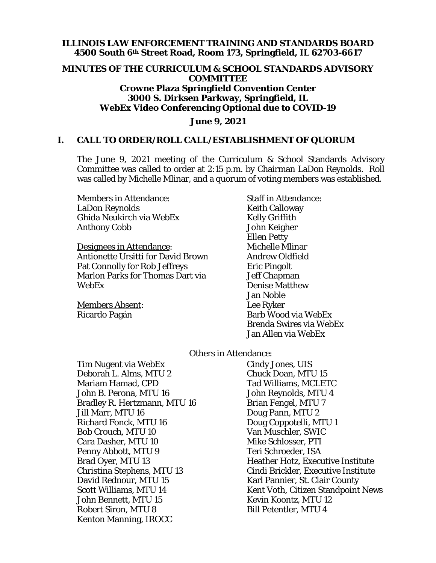#### **ILLINOIS LAW ENFORCEMENT TRAINING AND STANDARDS BOARD 4500 South 6th Street Road, Room 173, Springfield, IL 62703-6617**

#### **MINUTES OF THE CURRICULUM & SCHOOL STANDARDS ADVISORY COMMITTEE Crowne Plaza Springfield Convention Center 3000 S. Dirksen Parkway, Springfield, IL WebEx Video Conferencing Optional due to COVID-19**

#### **June 9, 2021**

#### **I. CALL TO ORDER/ROLL CALL/ESTABLISHMENT OF QUORUM**

The June 9, 2021 meeting of the Curriculum & School Standards Advisory Committee was called to order at 2:15 p.m. by Chairman LaDon Reynolds. Roll was called by Michelle Mlinar, and a quorum of voting members was established.

Members in Attendance: LaDon Reynolds Ghida Neukirch via WebEx Anthony Cobb

Designees in Attendance: Antionette Ursitti for David Brown Pat Connolly for Rob Jeffreys Marlon Parks for Thomas Dart via WebEx

Members Absent: Ricardo Pagán

Staff in Attendance: Keith Calloway Kelly Griffith John Keigher Ellen Petty Michelle Mlinar Andrew Oldfield Eric Pingolt Jeff Chapman Denise Matthew Jan Noble Lee Ryker Barb Wood via WebEx Brenda Swires via WebEx Jan Allen via WebEx

#### Others in Attendance:

Tim Nugent via WebEx Deborah L. Alms, MTU 2 Mariam Hamad, CPD John B. Perona, MTU 16 Bradley R. Hertzmann, MTU 16 Jill Marr, MTU 16 Richard Fonck, MTU 16 Bob Crouch, MTU 10 Cara Dasher, MTU 10 Penny Abbott, MTU 9 Brad Oyer, MTU 13 Christina Stephens, MTU 13 David Rednour, MTU 15 Scott Williams, MTU 14 John Bennett, MTU 15 Robert Siron, MTU 8 Kenton Manning, IROCC

Cindy Jones, UIS Chuck Doan, MTU 15 Tad Williams, MCLETC John Reynolds, MTU 4 Brian Fengel, MTU 7 Doug Pann, MTU 2 Doug Coppotelli, MTU 1 Van Muschler, SWIC Mike Schlosser, PTI Teri Schroeder, ISA Heather Hotz, Executive Institute Cindi Brickler, Executive Institute Karl Pannier, St. Clair County Kent Voth, Citizen Standpoint News Kevin Koontz, MTU 12 Bill Petentler, MTU 4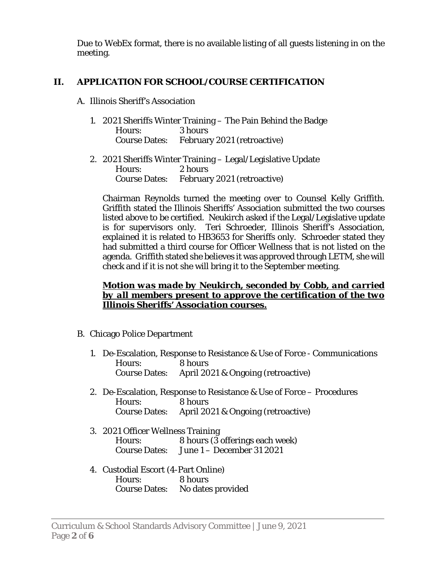Due to WebEx format, there is no available listing of all guests listening in on the meeting.

## **II. APPLICATION FOR SCHOOL/COURSE CERTIFICATION**

## A. Illinois Sheriff's Association

- 1. 2021 Sheriffs Winter Training The Pain Behind the Badge Hours: 3 hours Course Dates: February 2021 (retroactive)
- 2. 2021 Sheriffs Winter Training Legal/Legislative Update Hours: 2 hours Course Dates: February 2021 (retroactive)

Chairman Reynolds turned the meeting over to Counsel Kelly Griffith. Griffith stated the Illinois Sheriffs' Association submitted the two courses listed above to be certified. Neukirch asked if the Legal/Legislative update is for supervisors only. Teri Schroeder, Illinois Sheriff's Association, explained it is related to HB3653 for Sheriffs only. Schroeder stated they had submitted a third course for Officer Wellness that is not listed on the agenda. Griffith stated she believes it was approved through LETM, she will check and if it is not she will bring it to the September meeting.

### *Motion was made by Neukirch, seconded by Cobb, and carried by all members present to approve the certification of the two Illinois Sheriffs' Association courses.*

- B. Chicago Police Department
	- 1. De-Escalation, Response to Resistance & Use of Force Communications Hours: 8 hours Course Dates: April 2021 & Ongoing (retroactive)
	- 2. De-Escalation, Response to Resistance & Use of Force Procedures Hours: 8 hours Course Dates: April 2021 & Ongoing (retroactive)
	- 3. 2021 Officer Wellness Training Hours: 8 hours (3 offerings each week) Course Dates: June 1 – December 31 2021
	- 4. Custodial Escort (4-Part Online) Hours: 8 hours Course Dates: No dates provided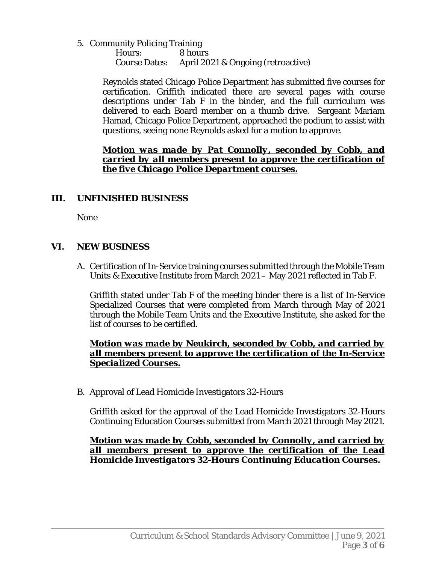5. Community Policing Training

 Hours: 8 hours Course Dates: April 2021 & Ongoing (retroactive)

Reynolds stated Chicago Police Department has submitted five courses for certification. Griffith indicated there are several pages with course descriptions under Tab F in the binder, and the full curriculum was delivered to each Board member on a thumb drive. Sergeant Mariam Hamad, Chicago Police Department, approached the podium to assist with questions, seeing none Reynolds asked for a motion to approve.

*Motion was made by Pat Connolly, seconded by Cobb, and carried by all members present to approve the certification of the five Chicago Police Department courses.* 

## **III. UNFINISHED BUSINESS**

None

### **VI. NEW BUSINESS**

A. Certification of In-Service training courses submitted through the Mobile Team Units & Executive Institute from March 2021 – May 2021 reflected in Tab F.

Griffith stated under Tab F of the meeting binder there is a list of In-Service Specialized Courses that were completed from March through May of 2021 through the Mobile Team Units and the Executive Institute, she asked for the list of courses to be certified.

### *Motion was made by Neukirch, seconded by Cobb, and carried by all members present to approve the certification of the In-Service Specialized Courses.*

B. Approval of Lead Homicide Investigators 32-Hours

Griffith asked for the approval of the Lead Homicide Investigators 32-Hours Continuing Education Courses submitted from March 2021 through May 2021.

*Motion was made by Cobb, seconded by Connolly, and carried by all members present to approve the certification of the Lead Homicide Investigators 32-Hours Continuing Education Courses.*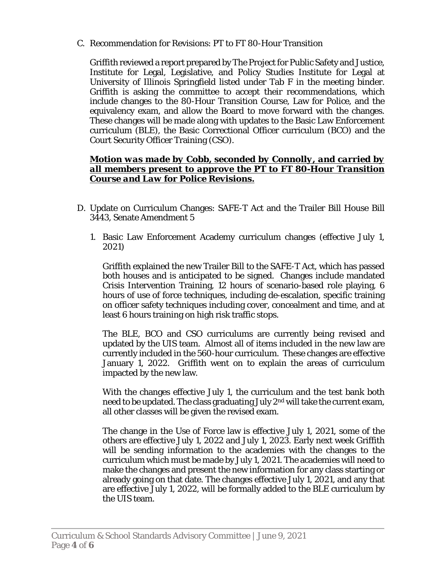C. Recommendation for Revisions: PT to FT 80-Hour Transition

Griffith reviewed a report prepared by The Project for Public Safety and Justice, Institute for Legal, Legislative, and Policy Studies Institute for Legal at University of Illinois Springfield listed under Tab F in the meeting binder. Griffith is asking the committee to accept their recommendations, which include changes to the 80-Hour Transition Course, Law for Police, and the equivalency exam, and allow the Board to move forward with the changes. These changes will be made along with updates to the Basic Law Enforcement curriculum (BLE), the Basic Correctional Officer curriculum (BCO) and the Court Security Officer Training (CSO).

### *Motion was made by Cobb, seconded by Connolly, and carried by all members present to approve the PT to FT 80-Hour Transition Course and Law for Police Revisions.*

- D. Update on Curriculum Changes: SAFE-T Act and the Trailer Bill House Bill 3443, Senate Amendment 5
	- 1. Basic Law Enforcement Academy curriculum changes (effective July 1, 2021)

Griffith explained the new Trailer Bill to the SAFE-T Act, which has passed both houses and is anticipated to be signed. Changes include mandated Crisis Intervention Training, 12 hours of scenario-based role playing, 6 hours of use of force techniques, including de-escalation, specific training on officer safety techniques including cover, concealment and time, and at least 6 hours training on high risk traffic stops.

The BLE, BCO and CSO curriculums are currently being revised and updated by the UIS team. Almost all of items included in the new law are currently included in the 560-hour curriculum. These changes are effective January 1, 2022. Griffith went on to explain the areas of curriculum impacted by the new law.

With the changes effective July 1, the curriculum and the test bank both need to be updated. The class graduating July  $2<sup>nd</sup>$  will take the current exam, all other classes will be given the revised exam.

The change in the Use of Force law is effective July 1, 2021, some of the others are effective July 1, 2022 and July 1, 2023. Early next week Griffith will be sending information to the academies with the changes to the curriculum which must be made by July 1, 2021. The academies will need to make the changes and present the new information for any class starting or already going on that date. The changes effective July 1, 2021, and any that are effective July 1, 2022, will be formally added to the BLE curriculum by the UIS team.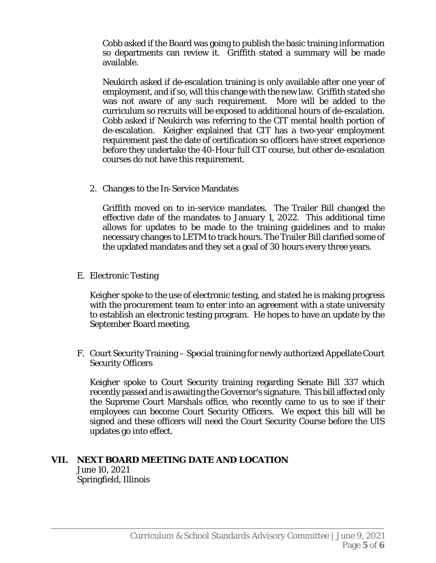Cobb asked if the Board was going to publish the basic training information so departments can review it. Griffith stated a summary will be made available.

Neukirch asked if de-escalation training is only available after one year of employment, and if so, will this change with the new law. Griffith stated she was not aware of any such requirement. More will be added to the curriculum so recruits will be exposed to additional hours of de-escalation. Cobb asked if Neukirch was referring to the CIT mental health portion of de-escalation. Keigher explained that CIT has a two-year employment requirement past the date of certification so officers have street experience before they undertake the 40-Hour full CIT course, but other de-escalation courses do not have this requirement.

2. Changes to the In-Service Mandates

Griffith moved on to in-service mandates. The Trailer Bill changed the effective date of the mandates to January 1, 2022. This additional time allows for updates to be made to the training guidelines and to make necessary changes to LETM to track hours. The Trailer Bill clarified some of the updated mandates and they set a goal of 30 hours every three years.

E. Electronic Testing

Keigher spoke to the use of electronic testing, and stated he is making progress with the procurement team to enter into an agreement with a state university to establish an electronic testing program. He hopes to have an update by the September Board meeting.

F. Court Security Training – Special training for newly authorized Appellate Court Security Officers

Keigher spoke to Court Security training regarding Senate Bill 337 which recently passed and is awaiting the Governor's signature. This bill affected only the Supreme Court Marshals office, who recently came to us to see if their employees can become Court Security Officers. We expect this bill will be signed and these officers will need the Court Security Course before the UIS updates go into effect.

# **VII. NEXT BOARD MEETING DATE AND LOCATION**

 June 10, 2021 Springfield, Illinois